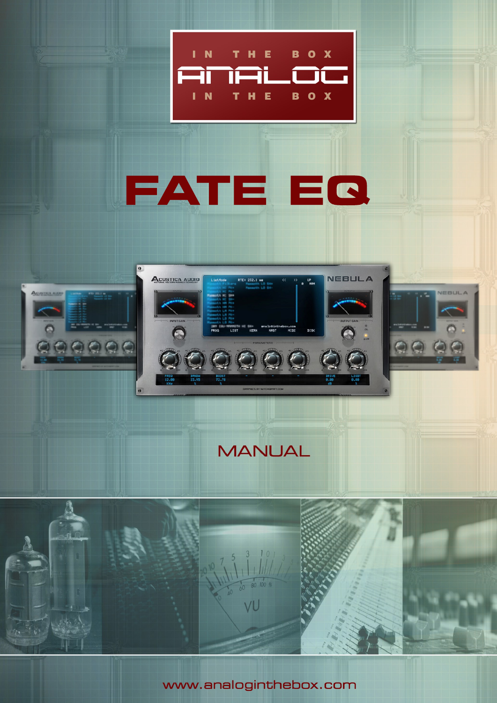

# **FATE EQ**



**MANUAL** 



www.analoginthebox.com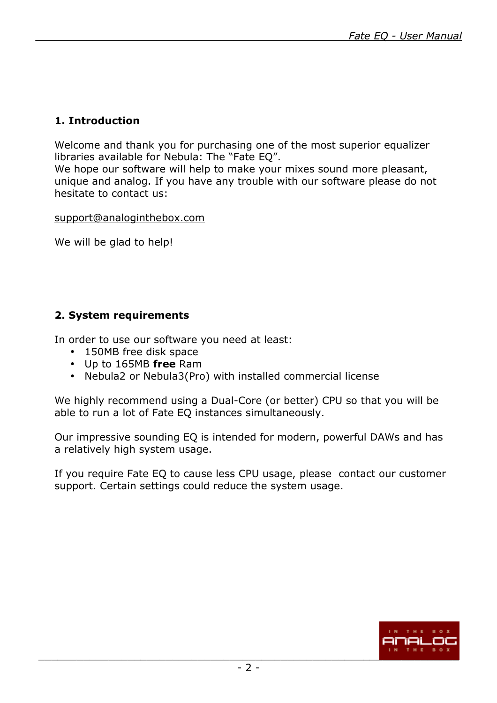## **1. Introduction**

Welcome and thank you for purchasing one of the most superior equalizer libraries available for Nebula: The "Fate EQ".

We hope our software will help to make your mixes sound more pleasant, unique and analog. If you have any trouble with our software please do not hesitate to contact us:

support@analoginthebox.com

We will be glad to help!

#### **2. System requirements**

In order to use our software you need at least:

- 150MB free disk space
- Up to 165MB **free** Ram
- Nebula2 or Nebula3(Pro) with installed commercial license

We highly recommend using a Dual-Core (or better) CPU so that you will be able to run a lot of Fate EQ instances simultaneously.

Our impressive sounding EQ is intended for modern, powerful DAWs and has a relatively high system usage.

If you require Fate EQ to cause less CPU usage, please contact our customer support. Certain settings could reduce the system usage.

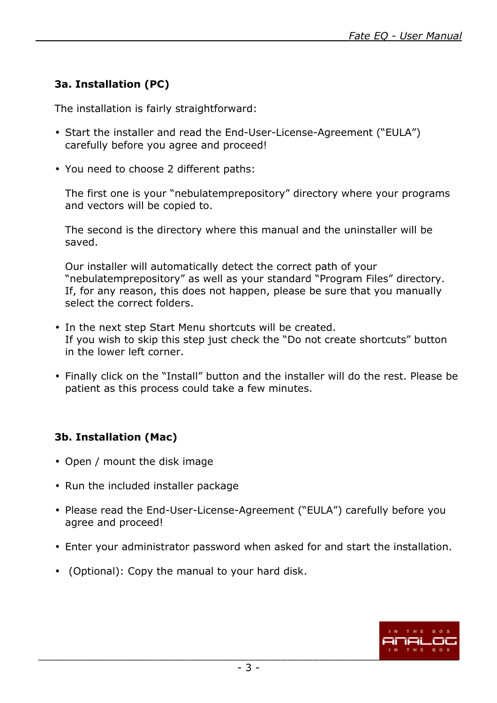## **3a. Installation (PC)**

The installation is fairly straightforward:

- Start the installer and read the End-User-License-Agreement ("EULA") carefully before you agree and proceed!
- You need to choose 2 different paths:

The first one is your "nebulatemprepository" directory where your programs and vectors will be copied to.

The second is the directory where this manual and the uninstaller will be saved.

Our installer will automatically detect the correct path of your "nebulatemprepository" as well as your standard "Program Files" directory. If, for any reason, this does not happen, please be sure that you manually select the correct folders.

- In the next step Start Menu shortcuts will be created. If you wish to skip this step just check the "Do not create shortcuts" button in the lower left corner.
- Finally click on the "Install" button and the installer will do the rest. Please be patient as this process could take a few minutes.

# **3b. Installation (Mac)**

- Open / mount the disk image
- Run the included installer package
- Please read the End-User-License-Agreement ("EULA") carefully before you agree and proceed!
- Enter your administrator password when asked for and start the installation.
- (Optional): Copy the manual to your hard disk.

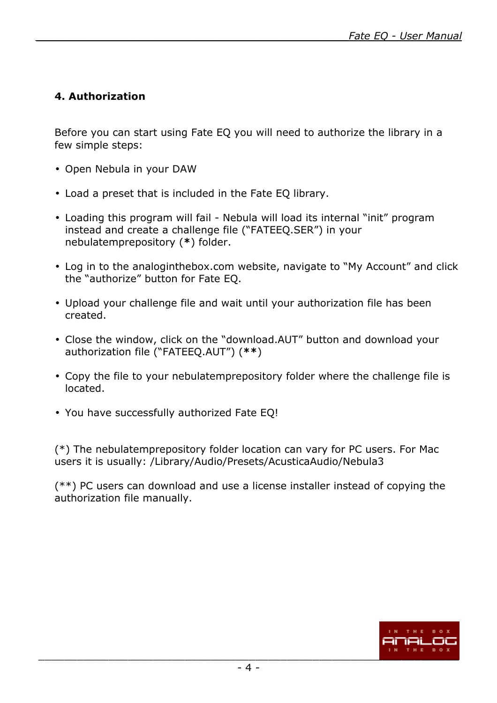## **4. Authorization**

Before you can start using Fate EQ you will need to authorize the library in a few simple steps:

- Open Nebula in your DAW
- Load a preset that is included in the Fate EQ library.
- Loading this program will fail Nebula will load its internal "init" program instead and create a challenge file ("FATEEQ.SER") in your nebulatemprepository (**\***) folder.
- Log in to the analoginthebox.com website, navigate to "My Account" and click the "authorize" button for Fate EQ.
- Upload your challenge file and wait until your authorization file has been created.
- Close the window, click on the "download.AUT" button and download your authorization file ("FATEEQ.AUT") (**\*\***)
- Copy the file to your nebulatemprepository folder where the challenge file is located.
- You have successfully authorized Fate EQ!

(\*) The nebulatemprepository folder location can vary for PC users. For Mac users it is usually: /Library/Audio/Presets/AcusticaAudio/Nebula3

(\*\*) PC users can download and use a license installer instead of copying the authorization file manually.

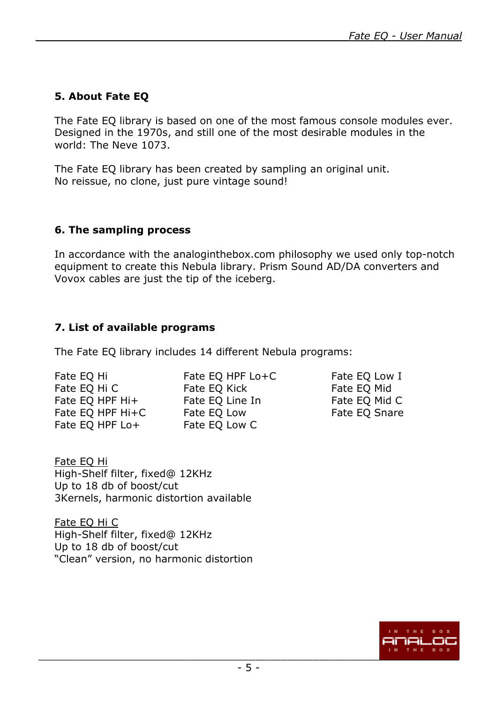## **5. About Fate EQ**

The Fate EQ library is based on one of the most famous console modules ever. Designed in the 1970s, and still one of the most desirable modules in the world: The Neve 1073.

The Fate EQ library has been created by sampling an original unit. No reissue, no clone, just pure vintage sound!

#### **6. The sampling process**

In accordance with the analoginthebox.com philosophy we used only top-notch equipment to create this Nebula library. Prism Sound AD/DA converters and Vovox cables are just the tip of the iceberg.

## **7. List of available programs**

The Fate EQ library includes 14 different Nebula programs:

| Fate EQ Hi      |  |                  |
|-----------------|--|------------------|
| Fate EQ Hi C    |  |                  |
| Fate EQ HPF Hi+ |  |                  |
|                 |  | Fate EQ HPF Hi+C |
| Fate EQ HPF Lo+ |  |                  |

Fate EQ HPF Lo+C Fate EQ Low I Fate EO Kick Fate EO Mid Fate EQ Line In Fate EQ Mid C Fate EQ Low Fate EQ Snare Fate EQ Low C

Fate EQ Hi High-Shelf filter, fixed@ 12KHz Up to 18 db of boost/cut 3Kernels, harmonic distortion available

Fate EQ Hi C High-Shelf filter, fixed@ 12KHz Up to 18 db of boost/cut "Clean" version, no harmonic distortion

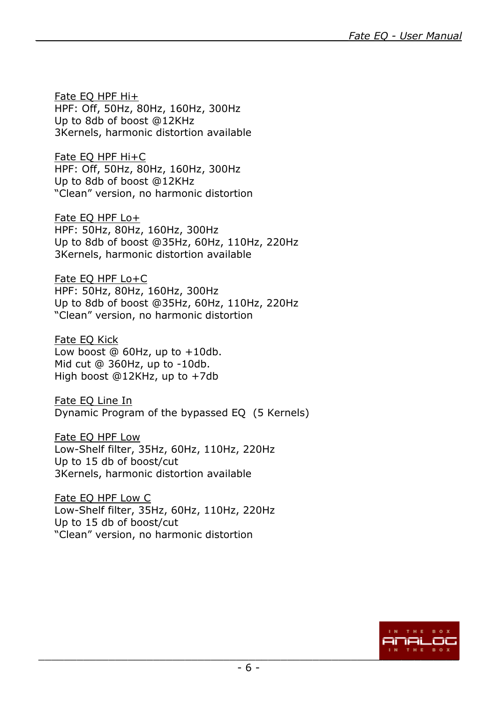Fate EQ HPF Hi+ HPF: Off, 50Hz, 80Hz, 160Hz, 300Hz Up to 8db of boost @12KHz 3Kernels, harmonic distortion available

Fate EQ HPF Hi+C HPF: Off, 50Hz, 80Hz, 160Hz, 300Hz Up to 8db of boost @12KHz "Clean" version, no harmonic distortion

Fate EQ HPF Lo+ HPF: 50Hz, 80Hz, 160Hz, 300Hz Up to 8db of boost @35Hz, 60Hz, 110Hz, 220Hz 3Kernels, harmonic distortion available

Fate EQ HPF Lo+C HPF: 50Hz, 80Hz, 160Hz, 300Hz Up to 8db of boost @35Hz, 60Hz, 110Hz, 220Hz "Clean" version, no harmonic distortion

Fate EQ Kick Low boost  $@60Hz$ , up to  $+10db$ . Mid cut @ 360Hz, up to -10db. High boost @12KHz, up to +7db

Fate EQ Line In Dynamic Program of the bypassed EQ (5 Kernels)

Fate EQ HPF Low Low-Shelf filter, 35Hz, 60Hz, 110Hz, 220Hz Up to 15 db of boost/cut 3Kernels, harmonic distortion available

Fate EQ HPF Low C Low-Shelf filter, 35Hz, 60Hz, 110Hz, 220Hz Up to 15 db of boost/cut "Clean" version, no harmonic distortion